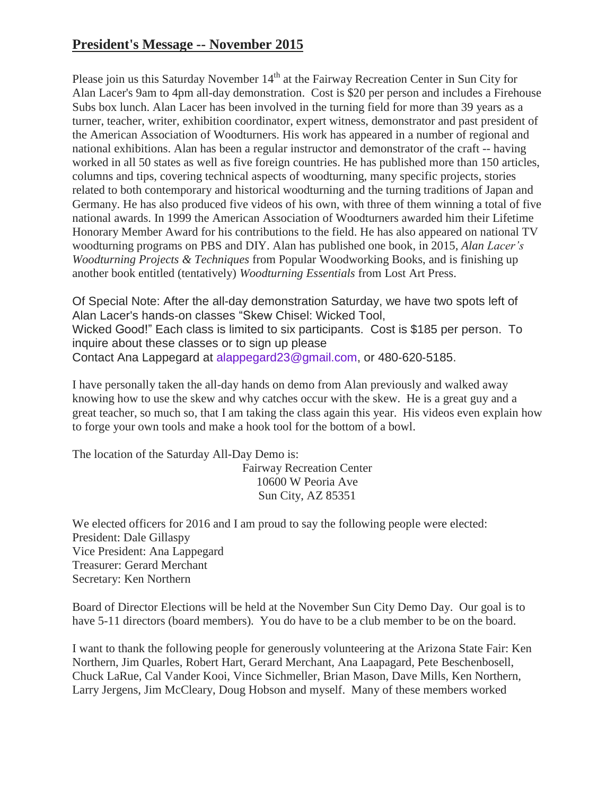## **President's Message -- November 2015**

Please join us this Saturday November  $14<sup>th</sup>$  at the Fairway Recreation Center in Sun City for Alan Lacer's 9am to 4pm all-day demonstration. Cost is \$20 per person and includes a Firehouse Subs box lunch. Alan Lacer has been involved in the turning field for more than 39 years as a turner, teacher, writer, exhibition coordinator, expert witness, demonstrator and past president of the American Association of Woodturners. His work has appeared in a number of regional and national exhibitions. Alan has been a regular instructor and demonstrator of the craft -- having worked in all 50 states as well as five foreign countries. He has published more than 150 articles, columns and tips, covering technical aspects of woodturning, many specific projects, stories related to both contemporary and historical woodturning and the turning traditions of Japan and Germany. He has also produced five videos of his own, with three of them winning a total of five national awards. In 1999 the American Association of Woodturners awarded him their Lifetime Honorary Member Award for his contributions to the field. He has also appeared on national TV woodturning programs on PBS and DIY. Alan has published one book, in 2015, *Alan Lacer's Woodturning Projects & Techniques* from Popular Woodworking Books, and is finishing up another book entitled (tentatively) *Woodturning Essentials* from Lost Art Press.

Of Special Note: After the all-day demonstration Saturday, we have two spots left of Alan Lacer's hands‐on classes "Skew Chisel: Wicked Tool, Wicked Good!" Each class is limited to six participants. Cost is \$185 per person. To inquire about these classes or to sign up please Contact Ana Lappegard at [alappegard23@gmail.com,](mailto:alappegard23@gmail.com) or 480‐620‐5185.

I have personally taken the all-day hands on demo from Alan previously and walked away knowing how to use the skew and why catches occur with the skew. He is a great guy and a great teacher, so much so, that I am taking the class again this year. His videos even explain how to forge your own tools and make a hook tool for the bottom of a bowl.

The location of the Saturday All-Day Demo is:

Fairway Recreation Center 10600 W Peoria Ave Sun City, AZ 85351

We elected officers for 2016 and I am proud to say the following people were elected: President: Dale Gillaspy Vice President: Ana Lappegard Treasurer: Gerard Merchant Secretary: Ken Northern

Board of Director Elections will be held at the November Sun City Demo Day. Our goal is to have 5-11 directors (board members). You do have to be a club member to be on the board.

I want to thank the following people for generously volunteering at the Arizona State Fair: Ken Northern, Jim Quarles, Robert Hart, Gerard Merchant, Ana Laapagard, Pete Beschenbosell, Chuck LaRue, Cal Vander Kooi, Vince Sichmeller, Brian Mason, Dave Mills, Ken Northern, Larry Jergens, Jim McCleary, Doug Hobson and myself. Many of these members worked